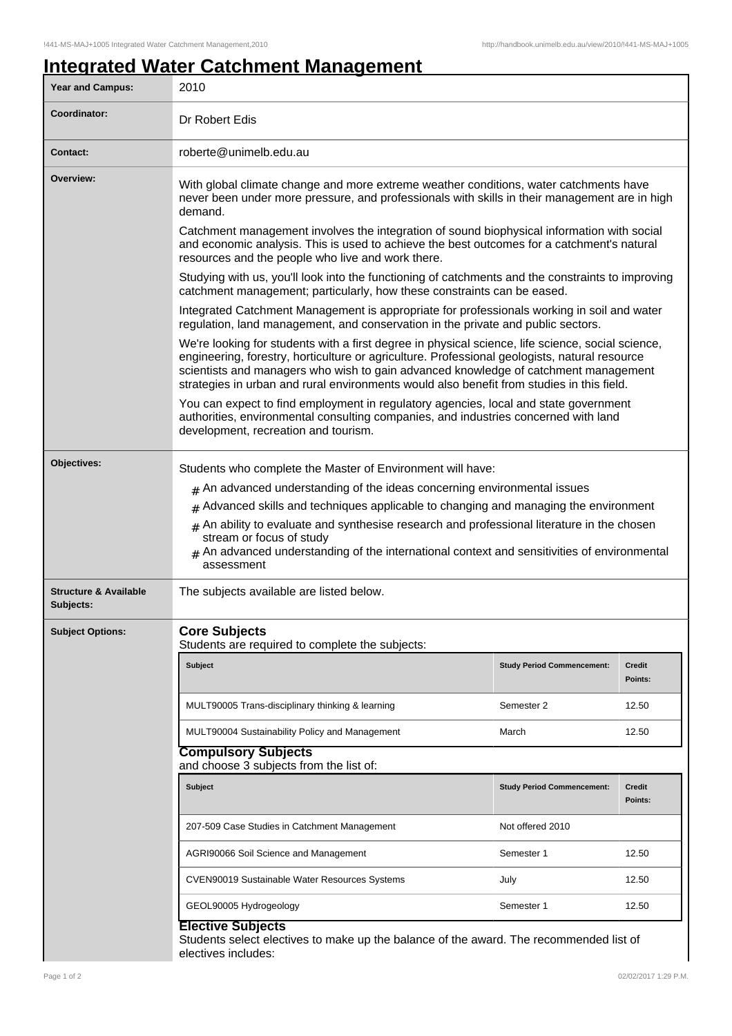## **Integrated Water Catchment Management**

| Year and Campus:                              | 2010                                                                                                                                                                                                                                                                                                                                                                                                                                                                                     |                                   |                          |  |  |
|-----------------------------------------------|------------------------------------------------------------------------------------------------------------------------------------------------------------------------------------------------------------------------------------------------------------------------------------------------------------------------------------------------------------------------------------------------------------------------------------------------------------------------------------------|-----------------------------------|--------------------------|--|--|
| Coordinator:                                  | Dr Robert Edis                                                                                                                                                                                                                                                                                                                                                                                                                                                                           |                                   |                          |  |  |
| <b>Contact:</b>                               | roberte@unimelb.edu.au                                                                                                                                                                                                                                                                                                                                                                                                                                                                   |                                   |                          |  |  |
| Overview:                                     | With global climate change and more extreme weather conditions, water catchments have<br>never been under more pressure, and professionals with skills in their management are in high<br>demand.                                                                                                                                                                                                                                                                                        |                                   |                          |  |  |
|                                               | Catchment management involves the integration of sound biophysical information with social<br>and economic analysis. This is used to achieve the best outcomes for a catchment's natural<br>resources and the people who live and work there.                                                                                                                                                                                                                                            |                                   |                          |  |  |
|                                               | Studying with us, you'll look into the functioning of catchments and the constraints to improving<br>catchment management; particularly, how these constraints can be eased.                                                                                                                                                                                                                                                                                                             |                                   |                          |  |  |
|                                               | Integrated Catchment Management is appropriate for professionals working in soil and water<br>regulation, land management, and conservation in the private and public sectors.                                                                                                                                                                                                                                                                                                           |                                   |                          |  |  |
|                                               | We're looking for students with a first degree in physical science, life science, social science,<br>engineering, forestry, horticulture or agriculture. Professional geologists, natural resource<br>scientists and managers who wish to gain advanced knowledge of catchment management<br>strategies in urban and rural environments would also benefit from studies in this field.                                                                                                   |                                   |                          |  |  |
|                                               | You can expect to find employment in regulatory agencies, local and state government<br>authorities, environmental consulting companies, and industries concerned with land<br>development, recreation and tourism.                                                                                                                                                                                                                                                                      |                                   |                          |  |  |
| Objectives:                                   | Students who complete the Master of Environment will have:<br>$*$ An advanced understanding of the ideas concerning environmental issues<br>$#$ Advanced skills and techniques applicable to changing and managing the environment<br>$#$ An ability to evaluate and synthesise research and professional literature in the chosen<br>stream or focus of study<br>$_{\text{\#}}$ An advanced understanding of the international context and sensitivities of environmental<br>assessment |                                   |                          |  |  |
| <b>Structure &amp; Available</b><br>Subjects: | The subjects available are listed below.                                                                                                                                                                                                                                                                                                                                                                                                                                                 |                                   |                          |  |  |
| <b>Subject Options:</b>                       | <b>Core Subjects</b><br>Students are required to complete the subjects:                                                                                                                                                                                                                                                                                                                                                                                                                  |                                   |                          |  |  |
|                                               | <b>Subject</b>                                                                                                                                                                                                                                                                                                                                                                                                                                                                           | <b>Study Period Commencement:</b> | <b>Credit</b><br>Points: |  |  |
|                                               | MULT90005 Trans-disciplinary thinking & learning                                                                                                                                                                                                                                                                                                                                                                                                                                         | Semester 2                        | 12.50                    |  |  |
|                                               | MULT90004 Sustainability Policy and Management                                                                                                                                                                                                                                                                                                                                                                                                                                           | March                             | 12.50                    |  |  |
|                                               | <b>Compulsory Subjects</b><br>and choose 3 subjects from the list of:                                                                                                                                                                                                                                                                                                                                                                                                                    |                                   |                          |  |  |
|                                               | <b>Subject</b>                                                                                                                                                                                                                                                                                                                                                                                                                                                                           | <b>Study Period Commencement:</b> | Credit<br>Points:        |  |  |
|                                               | 207-509 Case Studies in Catchment Management                                                                                                                                                                                                                                                                                                                                                                                                                                             | Not offered 2010                  |                          |  |  |
|                                               | AGRI90066 Soil Science and Management                                                                                                                                                                                                                                                                                                                                                                                                                                                    | Semester 1                        | 12.50                    |  |  |
|                                               | CVEN90019 Sustainable Water Resources Systems                                                                                                                                                                                                                                                                                                                                                                                                                                            | July                              | 12.50                    |  |  |
|                                               | GEOL90005 Hydrogeology                                                                                                                                                                                                                                                                                                                                                                                                                                                                   | Semester 1                        | 12.50                    |  |  |
|                                               | <b>Elective Subjects</b><br>Students select electives to make up the balance of the award. The recommended list of<br>electives includes:                                                                                                                                                                                                                                                                                                                                                |                                   |                          |  |  |